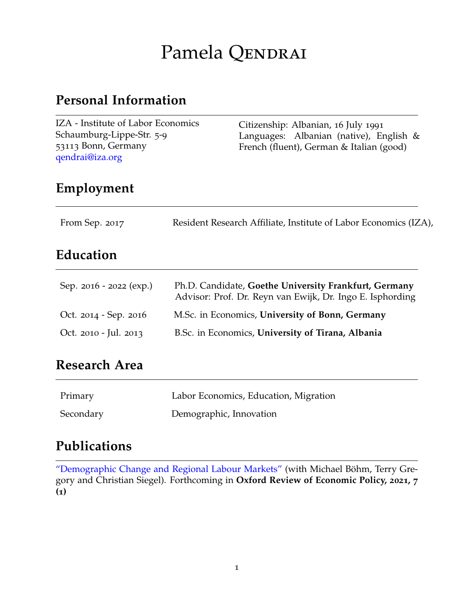# Pamela QENDRAI

### **Personal Information**

| IZA - Institute of Labor Economics<br>Schaumburg-Lippe-Str. 5-9<br>53113 Bonn, Germany<br>qendrai@iza.org | Citizenship: Albanian, 16 July 1991<br>Languages: Albanian (native), English $\&$<br>French (fluent), German & Italian (good) |
|-----------------------------------------------------------------------------------------------------------|-------------------------------------------------------------------------------------------------------------------------------|
|                                                                                                           |                                                                                                                               |

### **Employment**

| From Sep. 2017 | Resident Research Affiliate, Institute of Labor Economics (IZA), |
|----------------|------------------------------------------------------------------|
|                |                                                                  |

### **Education**

| Sep. 2016 - 2022 (exp.) | Ph.D. Candidate, Goethe University Frankfurt, Germany<br>Advisor: Prof. Dr. Reyn van Ewijk, Dr. Ingo E. Isphording |
|-------------------------|--------------------------------------------------------------------------------------------------------------------|
| Oct. 2014 - Sep. 2016   | M.Sc. in Economics, University of Bonn, Germany                                                                    |
| Oct. 2010 - Jul. 2013   | B.Sc. in Economics, University of Tirana, Albania                                                                  |

### **Research Area**

| Primary   | Labor Economics, Education, Migration |
|-----------|---------------------------------------|
| Secondary | Demographic, Innovation               |

## **Publications**

["Demographic Change and Regional Labour Markets"](http://ftp.iza.org/dp13883.pdf) (with Michael Böhm, Terry Gregory and Christian Siegel). Forthcoming in **Oxford Review of Economic Policy, 2021, 7 (1)**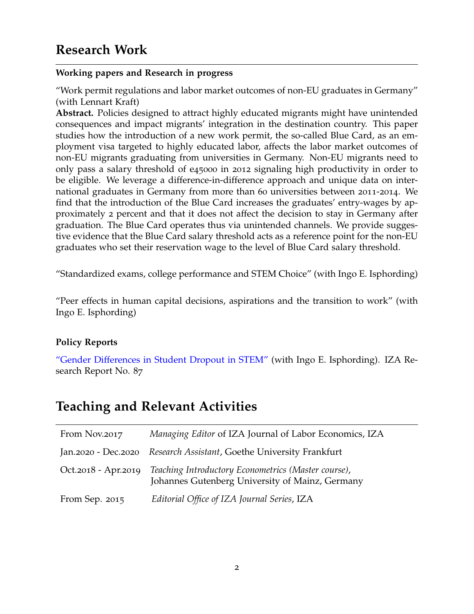#### **Working papers and Research in progress**

"Work permit regulations and labor market outcomes of non-EU graduates in Germany" (with Lennart Kraft)

**Abstract.** Policies designed to attract highly educated migrants might have unintended consequences and impact migrants' integration in the destination country. This paper studies how the introduction of a new work permit, the so-called Blue Card, as an employment visa targeted to highly educated labor, affects the labor market outcomes of non-EU migrants graduating from universities in Germany. Non-EU migrants need to only pass a salary threshold of e45000 in 2012 signaling high productivity in order to be eligible. We leverage a difference-in-difference approach and unique data on international graduates in Germany from more than 60 universities between 2011-2014. We find that the introduction of the Blue Card increases the graduates' entry-wages by approximately 2 percent and that it does not affect the decision to stay in Germany after graduation. The Blue Card operates thus via unintended channels. We provide suggestive evidence that the Blue Card salary threshold acts as a reference point for the non-EU graduates who set their reservation wage to the level of Blue Card salary threshold.

"Standardized exams, college performance and STEM Choice" (with Ingo E. Isphording)

"Peer effects in human capital decisions, aspirations and the transition to work" (with Ingo E. Isphording)

#### **Policy Reports**

["Gender Differences in Student Dropout in STEM"](http://ftp.iza.org/report_pdfs/iza_report_87.pdf) (with Ingo E. Isphording). IZA Research Report No. 87

### **Teaching and Relevant Activities**

| From Nov.2017       | Managing Editor of IZA Journal of Labor Economics, IZA                                                 |
|---------------------|--------------------------------------------------------------------------------------------------------|
|                     | Jan.2020 - Dec.2020 Research Assistant, Goethe University Frankfurt                                    |
| Oct.2018 - Apr.2019 | Teaching Introductory Econometrics (Master course),<br>Johannes Gutenberg University of Mainz, Germany |
| From Sep. 2015      | Editorial Office of IZA Journal Series, IZA                                                            |